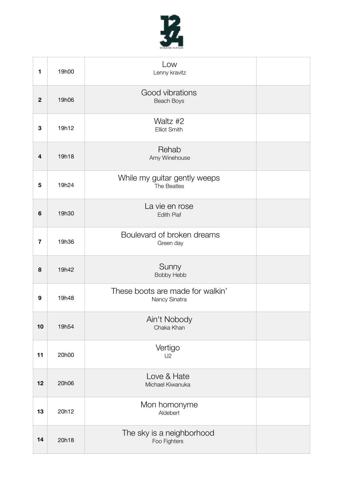

| 1                       | 19h00 | Low<br>Lenny kravitz                              |  |
|-------------------------|-------|---------------------------------------------------|--|
| $\mathbf{2}$            | 19h06 | Good vibrations<br>Beach Boys                     |  |
| 3                       | 19h12 | Waltz #2<br><b>Elliot Smith</b>                   |  |
| $\overline{\mathbf{4}}$ | 19h18 | Rehab<br>Amy Winehouse                            |  |
| 5                       | 19h24 | While my guitar gently weeps<br>The Beatles       |  |
| 6                       | 19h30 | La vie en rose<br><b>Edith Piaf</b>               |  |
| $\overline{7}$          | 19h36 | Boulevard of broken dreams<br>Green day           |  |
| 8                       | 19h42 | Sunny<br>Bobby Hebb                               |  |
| 9                       | 19h48 | These boots are made for walkin'<br>Nancy Sinatra |  |
| 10                      | 19h54 | Ain't Nobody<br>Chaka Khan                        |  |
| 11                      | 20h00 | Vertigo<br>U <sub>2</sub>                         |  |
| 12                      | 20h06 | Love & Hate<br>Michael Kiwanuka                   |  |
| 13                      | 20h12 | Mon homonyme<br>Aldebert                          |  |
| 14                      | 20h18 | The sky is a neighborhood<br>Foo Fighters         |  |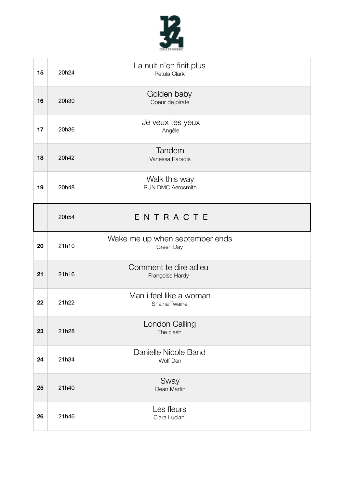

| 15 | 20h24 | La nuit n'en finit plus<br>Petula Clark     |  |
|----|-------|---------------------------------------------|--|
| 16 | 20h30 | Golden baby<br>Coeur de pirate              |  |
| 17 | 20h36 | Je veux tes yeux<br>Angèle                  |  |
| 18 | 20h42 | Tandem<br>Vanessa Paradis                   |  |
| 19 | 20h48 | Walk this way<br><b>RUN DMC Aerosmith</b>   |  |
|    | 20h54 | ENTRACTE                                    |  |
| 20 | 21h10 | Wake me up when september ends<br>Green Day |  |
| 21 | 21h16 | Comment te dire adieu<br>Françoise Hardy    |  |
| 22 | 21h22 | Man i feel like a woman<br>Shaina Twaine    |  |
| 23 | 21h28 | London Calling<br>The clash                 |  |
| 24 | 21h34 | Danielle Nicole Band<br>Wolf Den            |  |
| 25 | 21h40 | Sway<br>Dean Martin                         |  |
| 26 | 21h46 | Les fleurs<br>Clara Luciani                 |  |